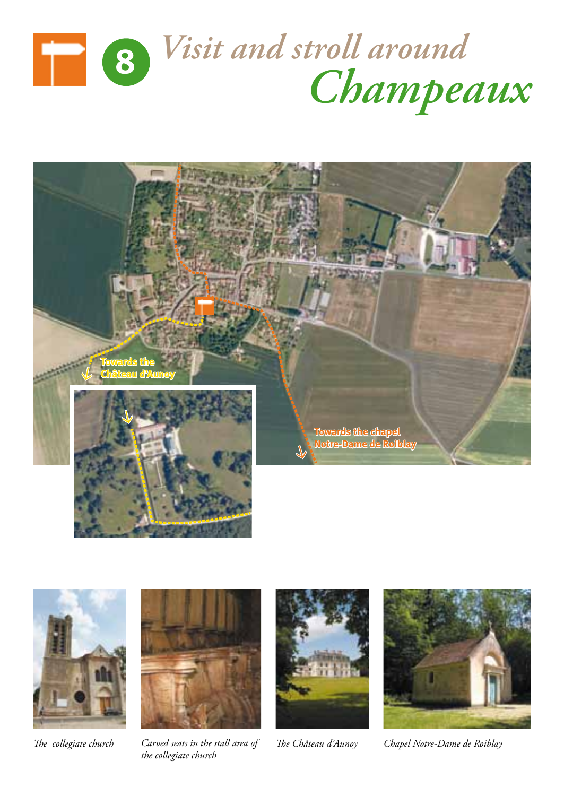







*the collegiate church*





*The collegiate church Carved seats in the stall area of The Château d'Aunoy Chapel Notre-Dame de Roiblay*